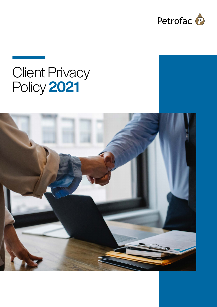

# Client Privacy Policy 2021

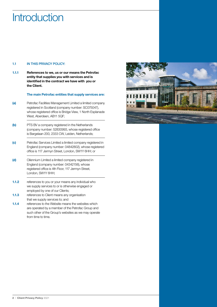## **Introduction**

#### 1.1 **IN THIS PRIVACY POLICY:**

1.1.1 References to we, us or our means the Petrofac entity that supplies you with services and is identified in the contract we have with you or the Client.

#### The main Petrofac entities that supply services are:

- (a) Petrofac Facilities Management Limited a limited company registered in Scotland (company number: SC075047), whose registered office is Bridge View, 1 North Esplanade West, Aberdeen, AB11 5QF;
- (b) PTS BV a company registered in the Netherlands (company number: 52830993, whose registered office is Bargelaan 200, 2333 CW, Leiden, Netherlands;
- (c) Petrofac Services Limited a limited company registered in England (company number: 04842802), whose registered office is 117 Jermyn Street, London, SW1Y 6HH; or
- (d) Oilennium Limited a limited company registered in England (company number: 04342156), whose registered office is 4th Floor, 117 Jermyn Street, London, SW1Y 6HH;
- 1.1.2 references to you or your means any individual who we supply services to or is otherwise engaged or employed by one of our Clients;
- 1.1.3 references to Client means any organisation that we supply services to; and
- 1.1.4 references to the Website means the websites which are operated by a member of the Petrofac Group and such other of the Group's websites as we may operate from time to time.

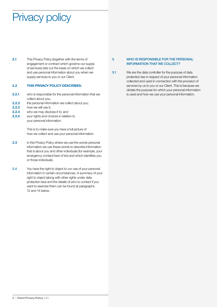# Privacy policy

2.1 This Privacy Policy (together with the terms of engagement or contract which governs our supply of services) sets out the basis on which we collect and use personal information about you when we supply services to you or our Client.

#### 2.2 THIS PRIVACY POLICY DESCRIBES:

- **2.2.1** who is responsible for the personal information that we collect about you;
- **2.2.2** the personal information we collect about you;
- 2.2.3 how we will use it:
- **2.2.4** who we may disclose it to; and
- **2.2.5** your rights and choices in relation to your personal information.

This is to make sure you have a full picture of how we collect and use your personal information.

- 2.3 In this Privacy Policy where we use the words personal information we use these words to describe information that is about you and other individuals (for example, your emergency contact/next of kin) and which identifies you or those individuals.
- 2.4 You have the right to object to our use of your personal information in certain circumstances. A summary of your right to object (along with other rights under data protection law) and the details of who to contact if you want to exercise them can be found at paragraphs 12 and 14 below.

#### 3. WHO IS RESPONSIBLE FOR THE PERSONAL INFORMATION THAT WE COLLECT?

3.1 We are the data controller for the purpose of data protection law in respect of your personal information collected and used in connection with the provision of services by us to you or our Client. This is because we dictate the purpose for which your personal information is used and how we use your personal information.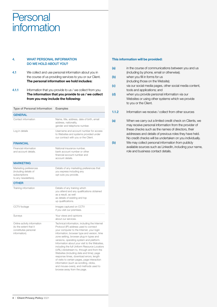### Personal information

#### 4. WHAT PERSONAL INFORMATION DO WE HOLD ABOUT YOU?

- 4.1 We collect and use personal information about you in the course of us providing services to you or our Client. The personal information we hold includes:
- 4.1.1 Information that you provide to us / we collect from you. The information that you provide to us / we collect from you may include the following:

Type of Personal Information Examples

| <b>GENERAL</b>                                                                                 |                                                                                                                                                                                                                                                                                                                                                                                                                                                                                                                                                                                                                                                     |
|------------------------------------------------------------------------------------------------|-----------------------------------------------------------------------------------------------------------------------------------------------------------------------------------------------------------------------------------------------------------------------------------------------------------------------------------------------------------------------------------------------------------------------------------------------------------------------------------------------------------------------------------------------------------------------------------------------------------------------------------------------------|
| Contact information                                                                            | Name, title, address, date of birth, email<br>address, nationality,<br>gender and telephone number.                                                                                                                                                                                                                                                                                                                                                                                                                                                                                                                                                 |
| Log in details                                                                                 | Username and account number for access<br>to Websites and systems provided under<br>our contract with you or the Client.                                                                                                                                                                                                                                                                                                                                                                                                                                                                                                                            |
| <b>FINANCIAL</b>                                                                               |                                                                                                                                                                                                                                                                                                                                                                                                                                                                                                                                                                                                                                                     |
| Financial information<br>and account details.                                                  | National insurance number,<br>bank account number or other<br>financial account number and<br>account details.                                                                                                                                                                                                                                                                                                                                                                                                                                                                                                                                      |
| <b>MARKETING</b>                                                                               |                                                                                                                                                                                                                                                                                                                                                                                                                                                                                                                                                                                                                                                     |
| Marketing preferences<br>(including details of<br>subscriptions<br>to any newsletters).        | Details of any marketing preferences that<br>you express including any<br>opt outs you provide.                                                                                                                                                                                                                                                                                                                                                                                                                                                                                                                                                     |
| <b>OTHER</b>                                                                                   |                                                                                                                                                                                                                                                                                                                                                                                                                                                                                                                                                                                                                                                     |
| Training information                                                                           | Details of any training which<br>you attend and any qualifications obtained<br>as a result, as well<br>as details of existing and top<br>up qualifications.                                                                                                                                                                                                                                                                                                                                                                                                                                                                                         |
| CCTV footage                                                                                   | Images captured on CCTV<br>if you visit our premises.                                                                                                                                                                                                                                                                                                                                                                                                                                                                                                                                                                                               |
| Surveys                                                                                        | Your views and opinions<br>about our services.                                                                                                                                                                                                                                                                                                                                                                                                                                                                                                                                                                                                      |
| Online activity information<br>(to the extent that it<br>constitutes personal<br>information). | Technical information, including the Internet<br>Protocol (IP) address used to connect<br>your computer to the Internet, your login<br>information, browser type and version, time<br>zone setting, browser plug-in types and<br>versions, operating system and platform.<br>Information about your visit to the Websites,<br>including the full Uniform Resource Locators<br>(URL) clickstream to, through and from the<br>Websites (including date and time); page<br>response times, download errors, length<br>of visits to certain pages, page interaction<br>information (such as scrolling, clicks,<br>and mouse-overs), and methods used to |

browse away from the page.

#### This information will be provided:

| (a)                       | in the course of communications between you and us<br>(including by phone, email or otherwise);                                                                        |
|---------------------------|------------------------------------------------------------------------------------------------------------------------------------------------------------------------|
| (b)                       | when you fill in forms for us                                                                                                                                          |
|                           | (including those on the Website);                                                                                                                                      |
| $\left( \text{c} \right)$ | via our social media pages, other social media content,                                                                                                                |
|                           | tools and applications; and                                                                                                                                            |
| (d)                       | when you provide personal information via our                                                                                                                          |
|                           | Websites or using other systems which we provide                                                                                                                       |
|                           | to you or the Client.                                                                                                                                                  |
| 1.1.2                     | Information we receive / collect from other sources                                                                                                                    |
| (a)                       | When we carry out a limited credit check on Clients, we<br>may receive personal information from the provider of<br>these checks such as the names of directors, their |

No credit checks will be undertaken on you individually. (b) We may collect personal information from publicly available sources such as LinkedIn, including your name, role and business contact details.

addresses and details of previous roles they have held.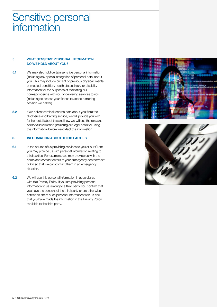### Sensitive personal **information**

#### 5. WHAT SENSITIVE PERSONAL INFORMATION DO WE HOLD ABOUT YOU?

- 5.1 We may also hold certain sensitive personal information (including any special categories of personal data) about you. This may include current or previous physical, mental or medical condition, health status, injury or disability information for the purposes of facilitating our correspondence with you or delivering services to you (including to assess your fitness to attend a training session we deliver).
- 5.2 If we collect criminal records data about you from the disclosure and barring service, we will provide you with further detail about this and how we will use the relevant personal information (including our legal basis for using the information) before we collect this information.

#### 6. INFORMATION ABOUT THIRD PARTIES

- 6.1 In the course of us providing services to you or our Client, you may provide us with personal information relating to third parties. For example, you may provide us with the name and contact details of your emergency contact/next of kin so that we can contact them in an emergency situation.
- 6.2 We will use this personal information in accordance with this Privacy Policy. If you are providing personal information to us relating to a third party, you confirm that you have the consent of the third party or are otherwise entitled to share such personal information with us and that you have made the information in this Privacy Policy available to the third party.



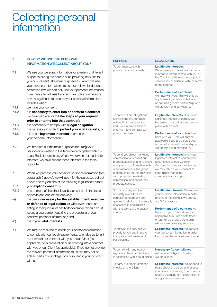### Collecting personal information

#### 7. HOW DO WE USE THE PERSONAL INFORMATION WE COLLECT ABOUT YOU?

- 7.1 We use your personal information for a variety of different purposes during the course of us providing services to you or our Client. The main purposes for which we use your personal information are set out below. Under data protection law, we can only use your personal information if we have a legal basis to do so. Examples of where we have a legal basis to process your personal information, includes when:
- 7.1.1 we have your consent:
- 7.1.2 it is necessary to enter into or perform a contract we have with you (or to take steps at your request prior to entering into that contract);
- 7.1.3 it is necessary to comply with a legal obligation;
- 7.1.4 it is necessary in order to **protect your vital interests**; or
- 7.1.5 it is in our legitimate interests to process your personal information.
- 7.2 We have set out the main purposes for using your personal information in the table below together with our Legal Basis for doing so. Where we rely on our legitimate interests, we have set out those interests in the table opposite.
- 7.3 When we process your sensitive personal information (see paragraph 5 above), we will use it for the purposes set out above and rely on one of the following legal bases; either:
- 7.3.1 vour explicit consent; or
- 7.3.2 one or more of the other legal bases set out in the table opposite and one of the following:
- (a) the use is necessary for the establishment, exercise or defence of legal claims, or whenever courts are acting in their judicial capacity (for example, when a court issues a court order requiring the processing of your sensitive personal information); and
- (b) it is in your **vital interests**
- 7.4 We may be required to obtain your personal information to comply with our legal requirements, to enable us to fulfil the terms of our contract with you or our Client (as applicable) or in preparation of us entering into a contract with you or our Client (as applicable). If you do not provide the relevant personal information to us, we may not be able to perform our obligations pursuant to your contract with us.

| <b>PURPOSE</b>                                                                                                                                                                                                                                                               | <b>LEGAL BASIS</b>                                                                                                                                                                                                                                                                                                                    |
|------------------------------------------------------------------------------------------------------------------------------------------------------------------------------------------------------------------------------------------------------------------------------|---------------------------------------------------------------------------------------------------------------------------------------------------------------------------------------------------------------------------------------------------------------------------------------------------------------------------------------|
| To communicate with<br>you and other individuals.                                                                                                                                                                                                                            | <b>Legitimate interests:</b><br>We require your personal information<br>in order to communicate with you or<br>the Client in relation to the supply of<br>services in accordance with the terms<br>of the contract.<br><b>Performance of a contract</b><br>we have with you. This will only be<br>applicable if you are a sole trader |
|                                                                                                                                                                                                                                                                              | or part of a general partnership who<br>we are providing services to.                                                                                                                                                                                                                                                                 |
| To carry out our obligations<br>arising from any contracts<br>entered into between you<br>and us or in preparation of<br>entering into a contract with<br>you or the Client.                                                                                                 | <b>Legitimate interests:</b> It is in our<br>legitimate interest to comply with<br>the terms of a contract we have in<br>place with a Client.                                                                                                                                                                                         |
|                                                                                                                                                                                                                                                                              | Performance of a contract we<br>have with you. This will only be<br>applicable if you are a sole trader<br>or part of a general partnership who<br>we are providing services to.                                                                                                                                                      |
| To send you direct marketing<br>communications about our<br>products/services and to share<br>your personal information with<br>other members of the group<br>of companies so that they can<br>send you direct marketing<br>communications about their<br>products/services. | Legitimate interests: It is in our<br>legitimate interest to contact you<br>about services that we offer.<br>Consent: In some circumstances.<br>we may rely on your consent to<br>send direct marketing<br>communications to you.                                                                                                     |
| To manage any service<br>or quality related issues,<br>complaints, feedback and<br>queries in relation to the supply<br>of services in accordance<br>with the terms of the supply<br>contract.                                                                               | Legitimate interests: We require<br>your personal information in order<br>to ensure the services we supply<br>are fit for purpose.                                                                                                                                                                                                    |
|                                                                                                                                                                                                                                                                              | <b>Performance of a contract we</b><br>have with you. This will only be<br>applicable if you are a sole trader<br>or part of a general partnership<br>who we are providing services to.                                                                                                                                               |
| To analyse the services we<br>provide to you and improve<br>the quality/performance of<br>our services.                                                                                                                                                                      | Legitimate interests: We require<br>your personal information in order<br>to improve the services we provide.                                                                                                                                                                                                                         |
| To comply with any legal or<br>regulatory obligations (including<br>in connection with a court order).                                                                                                                                                                       | <b>Necessary for compliance</b><br>with a legal obligation to which<br>we are subject.                                                                                                                                                                                                                                                |
| To carry out credit reference<br>checks on the Client.                                                                                                                                                                                                                       | Legitimate interests: We undertake<br>these checks to certify and assess<br>your financial standing to ensure we<br>receive payment for the provision of<br>our goods and services.                                                                                                                                                   |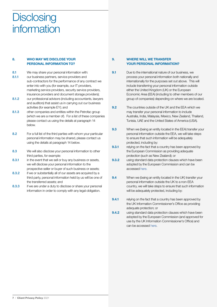### **Disclosing** information

#### 8. WHO MAY WE DISCLOSE YOUR PERSONAL INFORMATION TO?

- 8.1 We may share your personal information with:
- 8.1.1 our business partners, service providers and sub-contractors for the performance of any contract we enter into with you (for example, our IT providers, marketing service providers, security service providers, insurance providers and document storage providers);
- 8.1.2 our professional advisors (including accountants, lawyers and auditors) that assist us in carrying out our business activities (for example EY); and
- 8.1.3 other companies and entities within the Petrofac group (which we are a member of). For a list of these companies please contact us using the details at paragraph 14 below.
- 8.2 For a full list of the third parties with whom your particular personal information may be shared, please contact us using the details at paragraph 14 below.
- 8.3 We will also disclose your personal information to other third parties, for example:
- 8.3.1 in the event that we sell or buy any business or assets, we will disclose your personal information to the prospective seller or buyer of such business or assets;
- 8.3.2 if we or substantially all of our assets are acquired by a third party, personal information held by us will be one of the transferred assets; and
- 8.3.3 if we are under a duty to disclose or share your personal information in order to comply with any legal obligation.

#### 9. WHERE WILL WE TRANSFER YOUR PERSONAL INFORMATION?

- **9.1** Due to the international nature of our business, we process your personal information both nationally and internationally for the purposes set out above. This will include transferring your personal information outside either the United Kingdom (UK) or the European Economic Area (EEA) (including to other members of our group of companies) depending on where we are located.
- 9.2 The countries outside of the UK and the EEA which we may transfer your personal information to include Australia, India, Malaysia, Mexico, New Zealand, Thailand, Tunisia, UAE and the United States of America (USA).
- 9.3 When we (being an entity located in the EEA) transfer your personal information outside the EEA, we will take steps to ensure that such information will be adequately protected, including by:
- **9.3.1** relying on the fact that a country has been approved by the European Commission as providing adequate protection (such as New Zealand); or
- **9.3.2** using standard data protection clauses which have been adopted by the European Commission and can be accessed here.
- 9.4 When we (being an entity located in the UK) transfer your personal information outside the UK to a non-EEA country, we will take steps to ensure that such information will be adequately protected, including by:
- **9.4.1** relying on the fact that a country has been approved by the UK Information Commissioner's Office as providing adequate protection; or
- **9.4.2** using standard data protection clauses which have been adopted by the European Commission (and approved for use by the UK Information Commissioner's Office) and can be accessed here.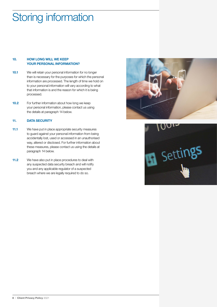# Storing information

#### 10. HOW LONG WILL WE KEEP YOUR PERSONAL INFORMATION?

- 10.1 We will retain your personal information for no longer than is necessary for the purposes for which the personal information are processed. The length of time we hold on to your personal information will vary according to what that information is and the reason for which it is being processed.
- 10.2 For further information about how long we keep your personal information, please contact us using the details at paragraph 14 below.

#### 11. DATA SECURITY

- 11.1 We have put in place appropriate security measures to guard against your personal information from being accidentally lost, used or accessed in an unauthorised way, altered or disclosed. For further information about these measures, please contact us using the details at paragraph 14 below.
- 11.2 We have also put in place procedures to deal with any suspected data security breach and will notify you and any applicable regulator of a suspected breach where we are legally required to do so.



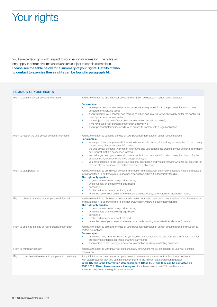## Your rights

You have certain rights with respect to your personal information. The rights will only apply in certain circumstances and are subject to certain exemptions. Please see the table below for a summary of your rights. Details of who to contact to exercise these rights can be found in paragraph 14.

#### SUMMARY OF YOUR RIGHTS Right to erasure of your personal information You have the right to ask that your personal information be deleted in certain circumstances. For example: > where your personal information is no longer necessary in relation to the purposes for which it was collected or otherwise used; if you withdraw your consent and there is no other legal ground for which we rely on for the continued use of your personal information; if you object to the use of your personal information (as set out below); > if we have used your personal information unlawfully; or > if your personal information needs to be erased to comply with a lega l obligation. Right to restrict the use of your personal information You have the right to suspend our use of your personal information in certain circumstances. For example: where you think your personal information is inaccurate but only for so long as is required for us to verify the accuracy of your personal information; the use of your personal information is unlawful and you oppose the erasure of your personal information and request that it is suspended instead; we no longer need your personal information, but your personal information is required by you for the establishment, exercise or defence of legal claims; or > you have objected to the use of your personal information and we are verifying whether our grounds for the use of your personal information override your objection Right to data portability You have the right to obtain your personal information in a structured, commonly used and machine-readable format and for it to be transferred to another organisation, where it is technically feasible. The right only applies: > to personal information you provided to us; > where we rely on the following legal bases: consent; or > for the performance of a contract; and when the use of your personal information is carried out by automated (i.e. electronic) means. Right to object to the use of your personal information You have the right to obtain your personal information in a structured, commonly used and machine-readable format and for it to be transferred to another organisation, where it is technically feasible. The right only applies: to personal information you provided to us; where we rely on the following legal bases: > consent; or > for the performance of a contract; and when the use of your personal information is carried out by automated (i.e. electronic) means. Right to object to the use of your personal information You have the right to object to the use of your personal information in certain circumstances and subject to certain exemptions. For example: where you have grounds relating to your particular situation and we use your personal information for our legitimate interests (or those of a third party); and > if you object to the use of your personal information for direct marketing purposes. Right to withdraw consent You have the right to withdraw your consent at any time where we rely on consent to use your personal information. Right to complain to the relevant data protection authority If you think that we have processed your personal information in a manner that is not in accordance with data protection law, you can make a complaint to the relevant data protection regulator In the UK this is the Information Commissioner's Office (ICO) and they can be contacted on 0303 123 1113 or please see www.ico.org.uk. If you live or work in an EEA member state. you may complain to the regulator in that state.